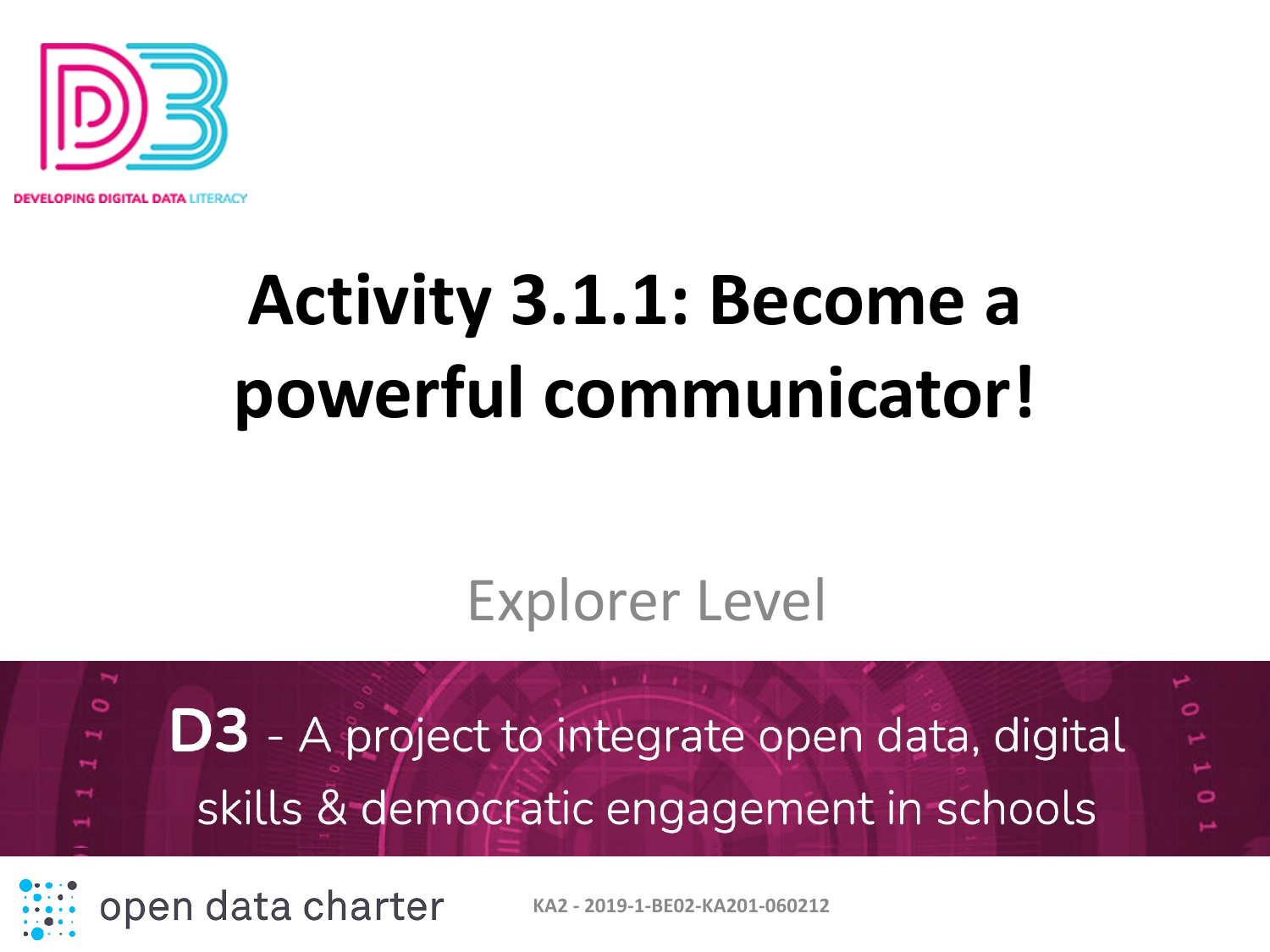

PING DIGITAL DATA LITERACY

# **Activity 3.1.1: Become a powerful communicator!**

#### Explorer Level

 $\circ$ **D3** - A project to integrate open data, digital skills & democratic engagement in schools

open data charter

**KA2 - 2019-1-BE02-KA201-060212**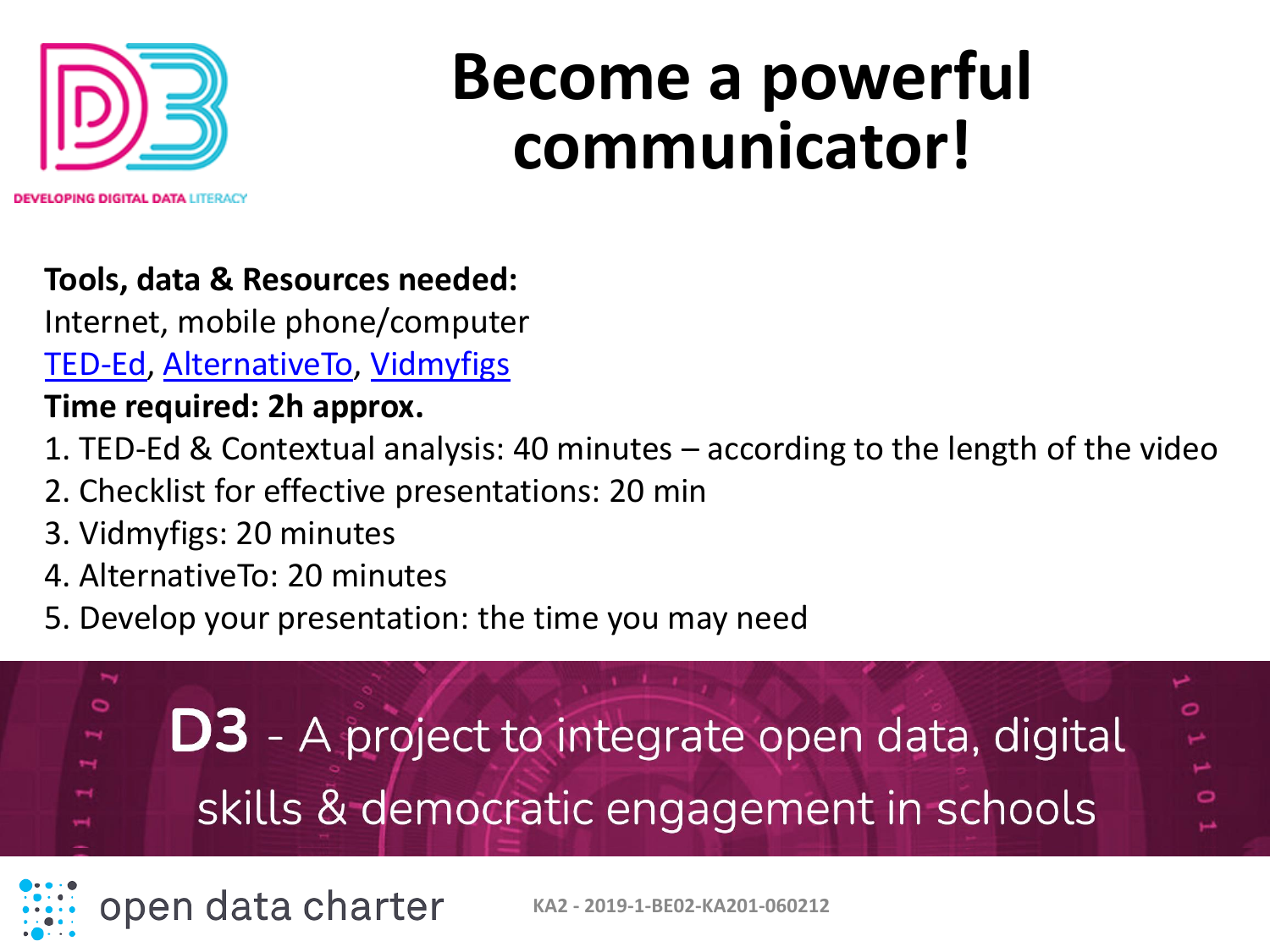

# **Become a powerful communicator!**

#### **Tools, data & Resources needed:**

Internet, mobile phone/computer [TED-Ed,](https://ed.ted.com/lessons?direction=desc&sort=featured-position) [AlternativeTo](https://alternativeto.net/), [Vidmyfigs](http://vidmyfigs.com/)

#### **Time required: 2h approx.**

- 1. TED-Ed & Contextual analysis: 40 minutes according to the length of the video
- 2. Checklist for effective presentations: 20 min
- 3. Vidmyfigs: 20 minutes
- 4. AlternativeTo: 20 minutes
- 5. Develop your presentation: the time you may need





**KA2 - 2019-1-BE02-KA201-060212**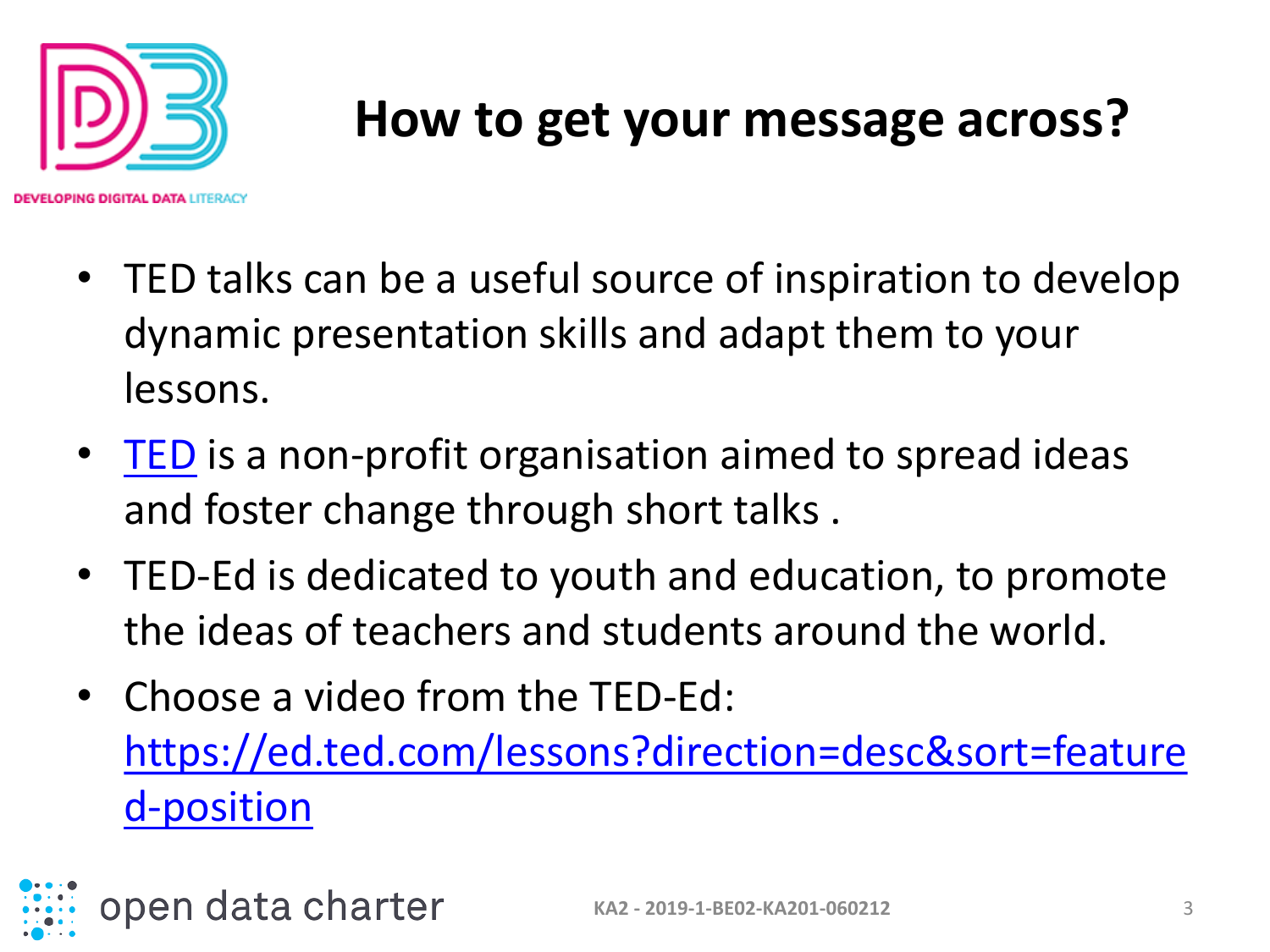

IN**G DIGITAL DATA** LITERACY

#### **How to get your message across?**

- TED talks can be a useful source of inspiration to develop dynamic presentation skills and adapt them to your lessons.
- [TED](https://www.ted.com/) is a non-profit organisation aimed to spread ideas and foster change through short talks .
- TED-Ed is dedicated to youth and education, to promote the ideas of teachers and students around the world.
- Choose a video from the TED-Ed: [https://ed.ted.com/lessons?direction=desc&sort=feature](https://ed.ted.com/lessons?direction=desc&sort=featured-position) d-position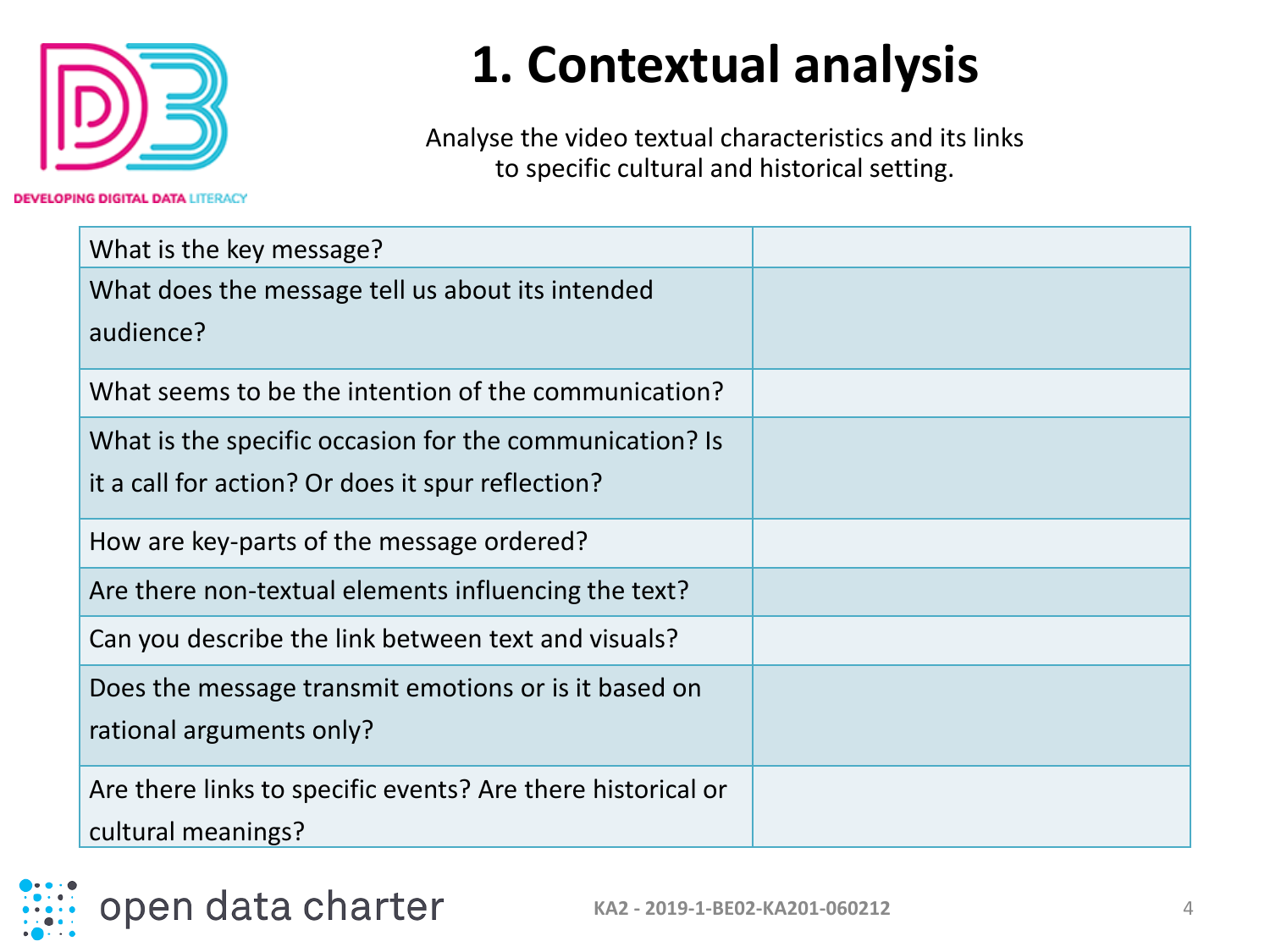

**DEVELOPING DIGITAL DATA LITERACY** 

#### **1. Contextual analysis**

Analyse the video textual characteristics and its links to specific cultural and historical setting.

| What is the key message?                                    |  |
|-------------------------------------------------------------|--|
| What does the message tell us about its intended            |  |
| audience?                                                   |  |
| What seems to be the intention of the communication?        |  |
| What is the specific occasion for the communication? Is     |  |
| it a call for action? Or does it spur reflection?           |  |
| How are key-parts of the message ordered?                   |  |
| Are there non-textual elements influencing the text?        |  |
| Can you describe the link between text and visuals?         |  |
| Does the message transmit emotions or is it based on        |  |
| rational arguments only?                                    |  |
| Are there links to specific events? Are there historical or |  |
| cultural meanings?                                          |  |

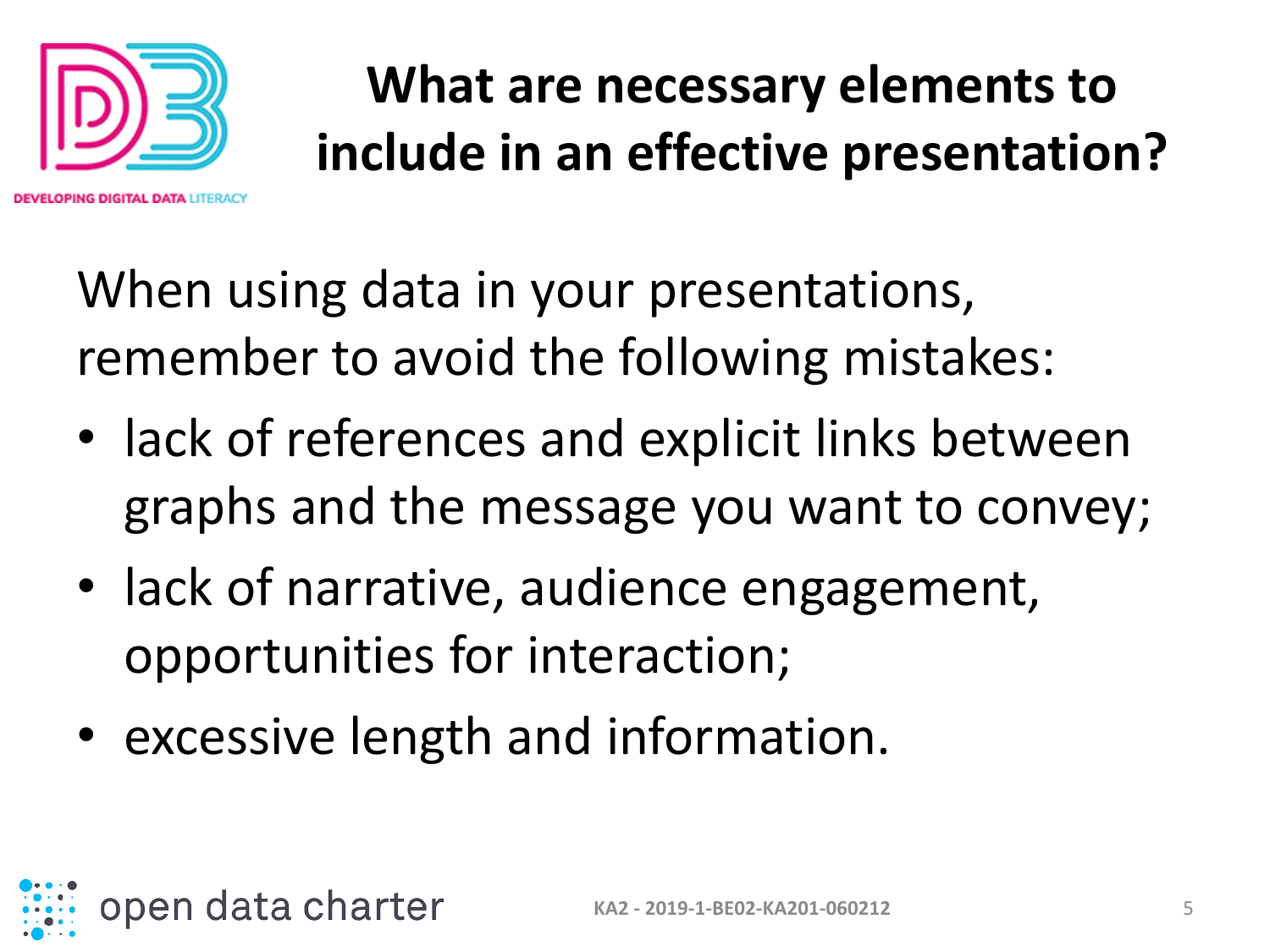

**IG DIGITAL DATA I ITERACI** 

## **What are necessary elements to include in an effective presentation?**

When using data in your presentations, remember to avoid the following mistakes:

- lack of references and explicit links between graphs and the message you want to convey;
- lack of narrative, audience engagement, opportunities for interaction;
- excessive length and information.

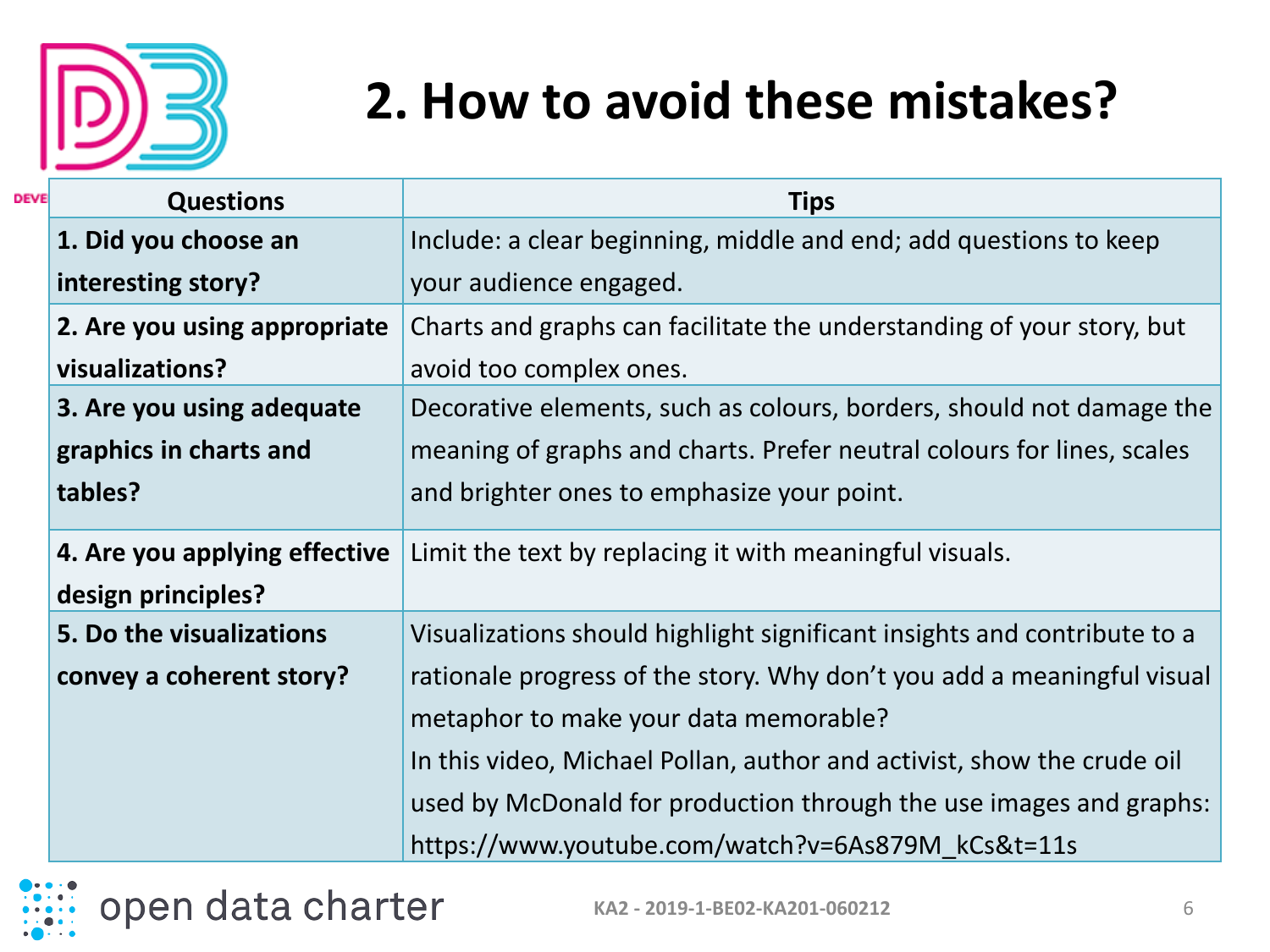

### **2. How to avoid these mistakes?**

| <b>DEVE</b> | <b>Questions</b>              | <b>Tips</b>                                                              |
|-------------|-------------------------------|--------------------------------------------------------------------------|
|             | 1. Did you choose an          | Include: a clear beginning, middle and end; add questions to keep        |
|             | interesting story?            | your audience engaged.                                                   |
|             | 2. Are you using appropriate  | Charts and graphs can facilitate the understanding of your story, but    |
|             | visualizations?               | avoid too complex ones.                                                  |
|             | 3. Are you using adequate     | Decorative elements, such as colours, borders, should not damage the     |
|             | graphics in charts and        | meaning of graphs and charts. Prefer neutral colours for lines, scales   |
|             | tables?                       | and brighter ones to emphasize your point.                               |
|             | 4. Are you applying effective | Limit the text by replacing it with meaningful visuals.                  |
|             | design principles?            |                                                                          |
|             | 5. Do the visualizations      | Visualizations should highlight significant insights and contribute to a |
|             | convey a coherent story?      | rationale progress of the story. Why don't you add a meaningful visual   |
|             |                               | metaphor to make your data memorable?                                    |
|             |                               | In this video, Michael Pollan, author and activist, show the crude oil   |
|             |                               | used by McDonald for production through the use images and graphs:       |
|             |                               | https://www.youtube.com/watch?v=6As879M kCs&t=11s                        |

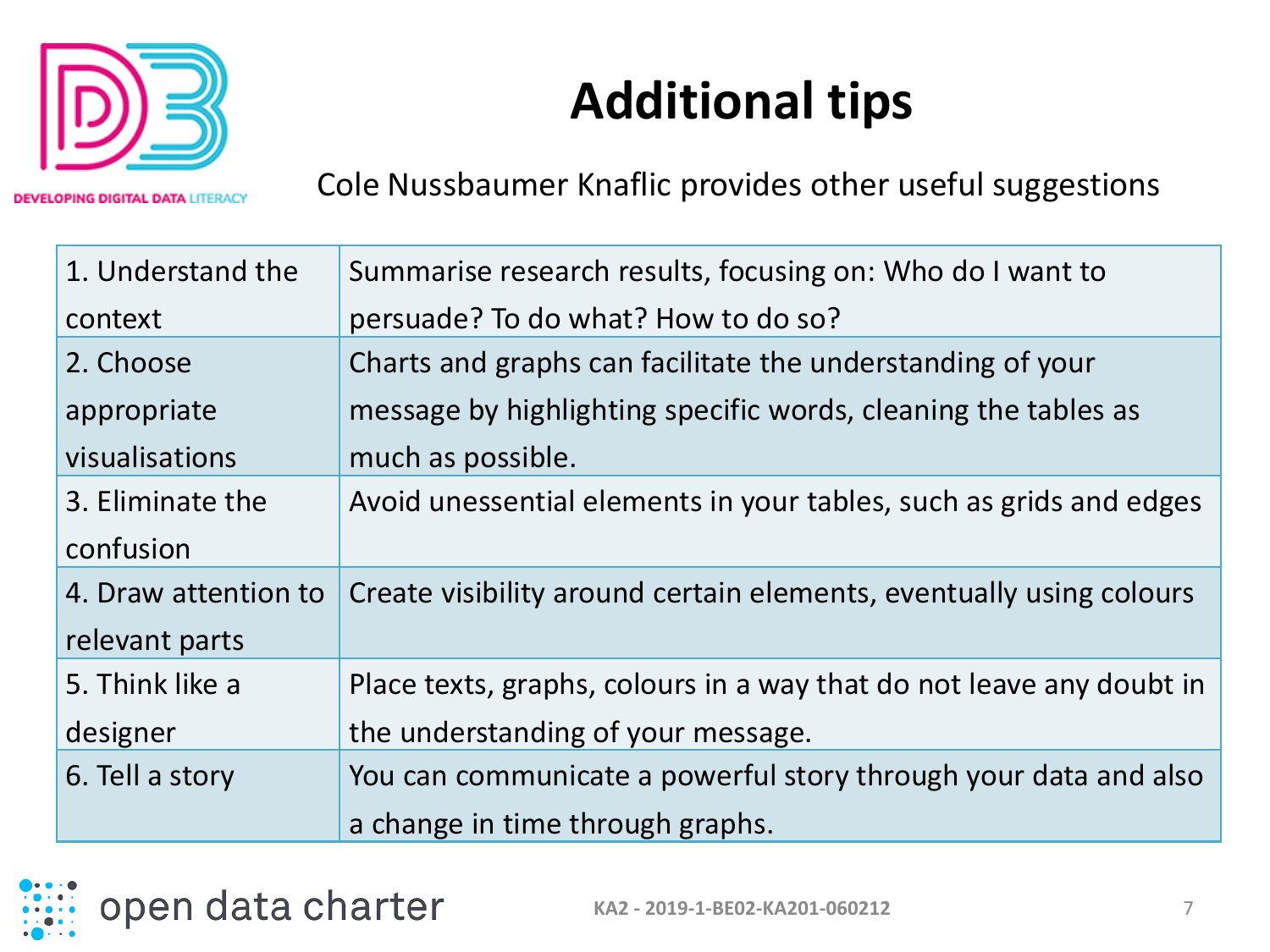

**Additional tips**

**OPING DIGITAL DATA LITERACY** 

Cole Nussbaumer Knaflic provides other useful suggestions

| 1. Understand the    | Summarise research results, focusing on: Who do I want to            |
|----------------------|----------------------------------------------------------------------|
| context              | persuade? To do what? How to do so?                                  |
| 2. Choose            | Charts and graphs can facilitate the understanding of your           |
| appropriate          | message by highlighting specific words, cleaning the tables as       |
| visualisations       | much as possible.                                                    |
| 3. Eliminate the     | Avoid unessential elements in your tables, such as grids and edges   |
| confusion            |                                                                      |
| 4. Draw attention to | Create visibility around certain elements, eventually using colours  |
| relevant parts       |                                                                      |
| 5. Think like a      | Place texts, graphs, colours in a way that do not leave any doubt in |
| designer             | the understanding of your message.                                   |
| 6. Tell a story      | You can communicate a powerful story through your data and also      |
|                      | a change in time through graphs.                                     |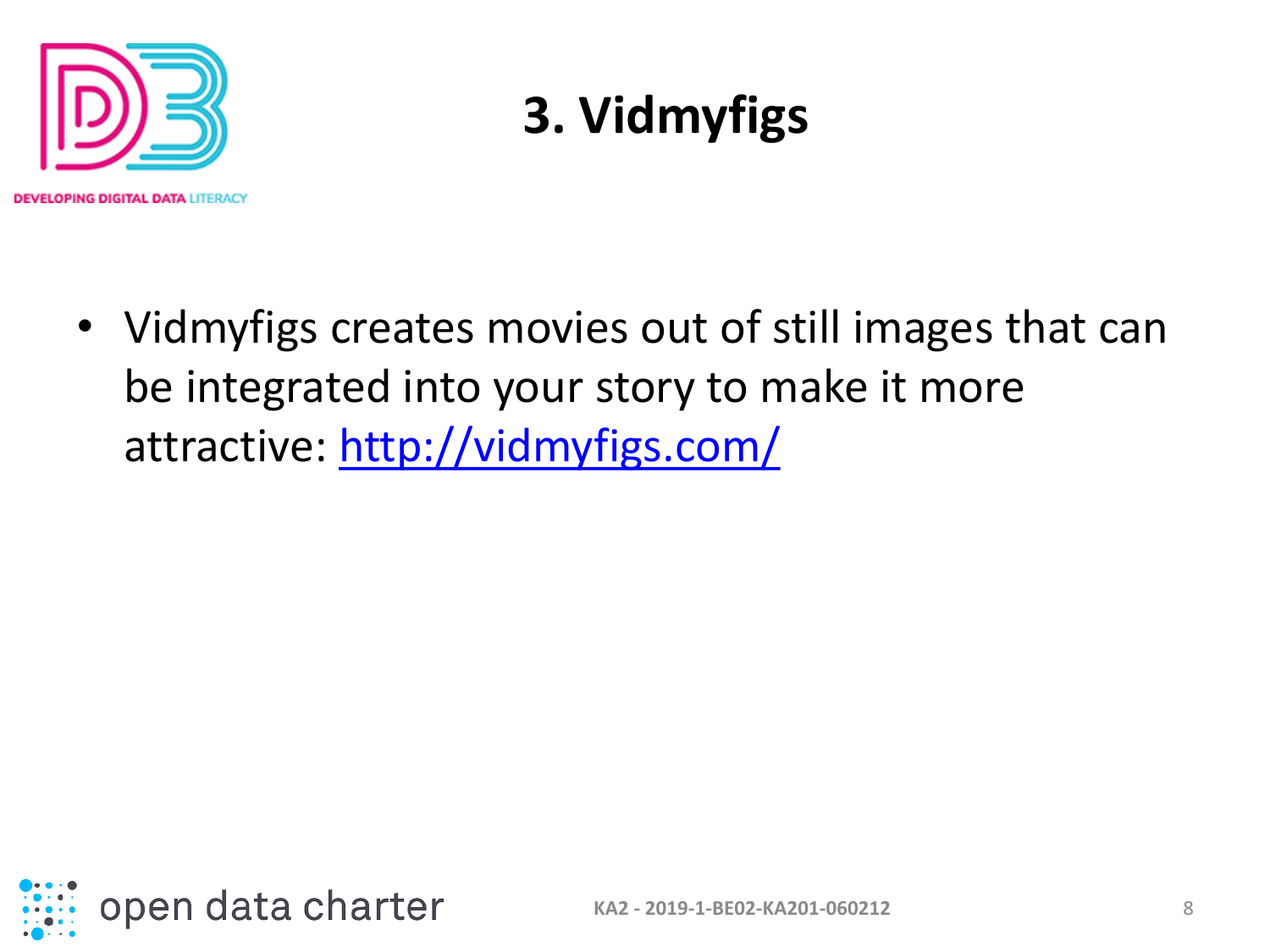

### **3. Vidmyfigs**

• Vidmyfigs creates movies out of still images that can be integrated into your story to make it more attractive:<http://vidmyfigs.com/>

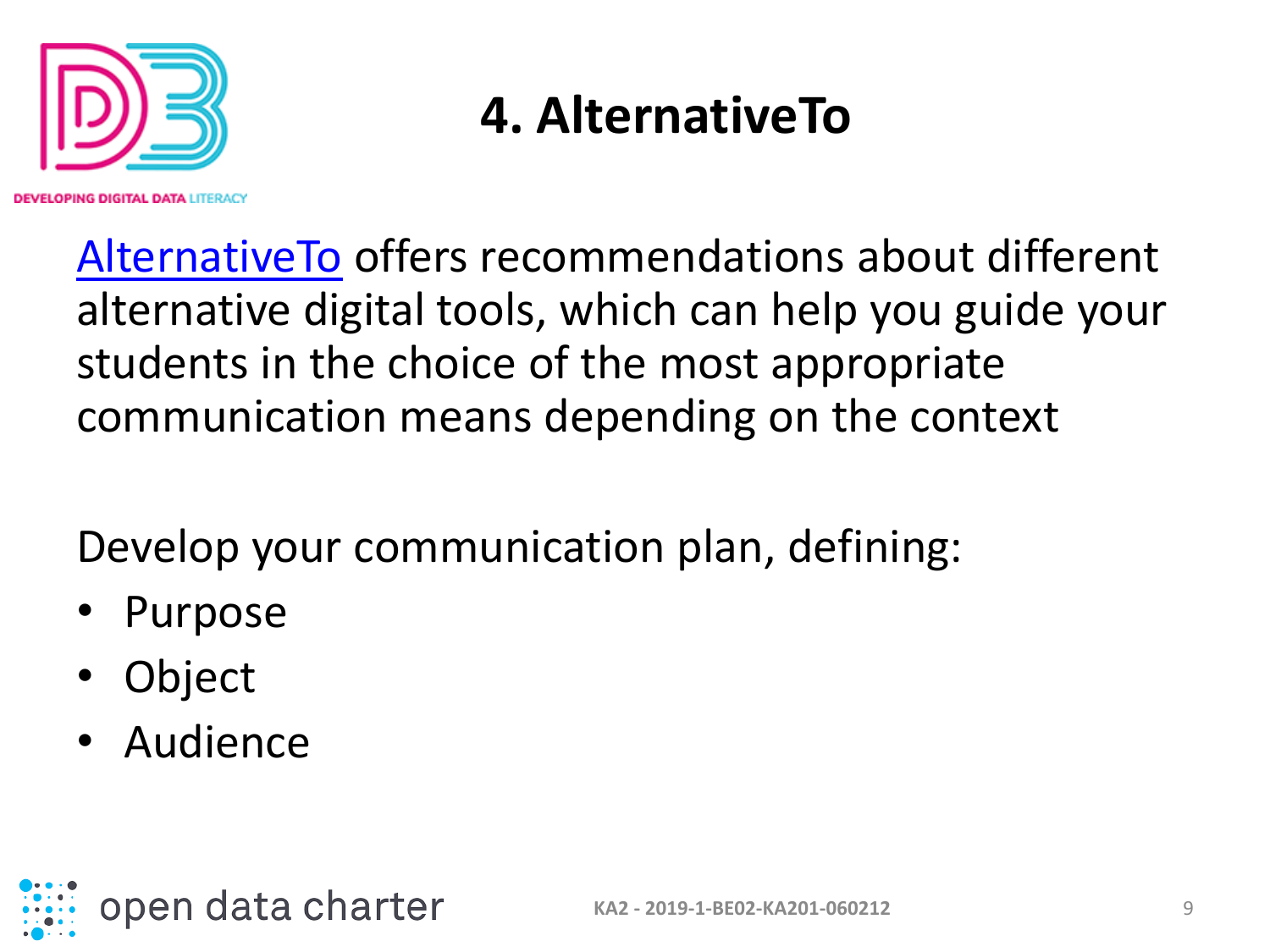

PIN**G DIGITAL DATA** LITERACY

#### **4. AlternativeTo**

[AlternativeTo](https://alternativeto.net/) offers recommendations about different alternative digital tools, which can help you guide your students in the choice of the most appropriate communication means depending on the context

Develop your communication plan, defining:

- Purpose
- Object
- Audience